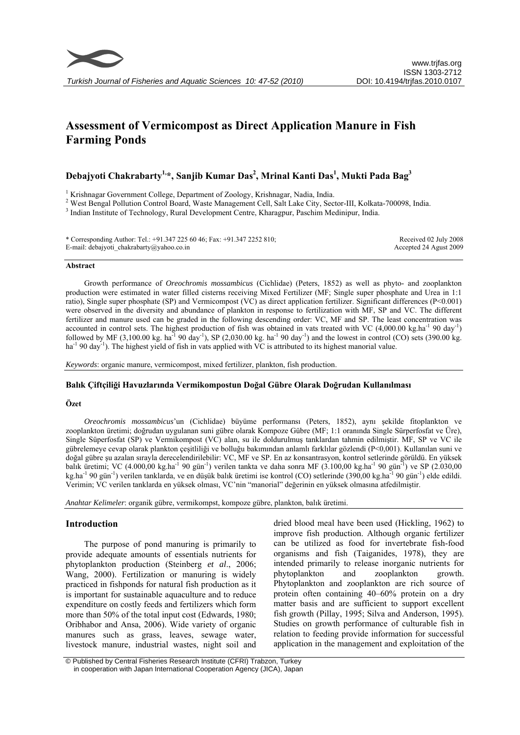

Received 02 July 2008 Accepted 24 Agust 2009

# **Assessment of Vermicompost as Direct Application Manure in Fish Farming Ponds**

## **Debajyoti Chakrabarty1,\*, Sanjib Kumar Das2 , Mrinal Kanti Das1 , Mukti Pada Bag3**

<sup>1</sup> Krishnagar Government College, Department of Zoology, Krishnagar, Nadia, India.

<sup>2</sup> West Bengal Pollution Control Board, Waste Management Cell, Salt Lake City, Sector-III, Kolkata-700098, India.

<sup>3</sup> Indian Institute of Technology, Rural Development Centre, Kharagpur, Paschim Medinipur, India.

\* Corresponding Author: Tel.: +91.347 225 60 46; Fax: +91.347 2252 810; E-mail: debajyoti\_chakrabarty@yahoo.co.in

#### **Abstract**

Growth performance of *Oreochromis mossambicus* (Cichlidae) (Peters, 1852) as well as phyto- and zooplankton production were estimated in water filled cisterns receiving Mixed Fertilizer (MF; Single super phosphate and Urea in 1:1 ratio), Single super phosphate (SP) and Vermicompost (VC) as direct application fertilizer. Significant differences (P<0.001) were observed in the diversity and abundance of plankton in response to fertilization with MF, SP and VC. The different fertilizer and manure used can be graded in the following descending order: VC, MF and SP. The least concentration was accounted in control sets. The highest production of fish was obtained in vats treated with VC  $(4,000.00 \text{ kg.ha}^{-1}90 \text{ day}^{-1})$ followed by MF (3,100.00 kg. ha<sup>-1</sup> 90 day<sup>-1</sup>), SP (2,030.00 kg. ha<sup>-1</sup> 90 day<sup>-1</sup>) and the lowest in control (CO) sets (390.00 kg. ha<sup>-1</sup> 90 day<sup>-1</sup>). The highest yield of fish in vats applied with VC is attributed to its highest manorial value.

*Keywords*: organic manure, vermicompost, mixed fertilizer, plankton, fish production.

## **Balık Çiftçiliği Havuzlarında Vermikompostun Doğal Gübre Olarak Doğrudan Kullanılması**

## **Özet**

*Oreochromis mossambicus*'un (Cichlidae) büyüme performansı (Peters, 1852), aynı şekilde fitoplankton ve zooplankton üretimi; doğrudan uygulanan suni gübre olarak Kompoze Gübre (MF; 1:1 oranında Single Sürperfosfat ve Üre), Single Süperfosfat (SP) ve Vermikompost (VC) alan, su ile doldurulmuş tanklardan tahmin edilmiştir. MF, SP ve VC ile gübrelemeye cevap olarak plankton çeşitliliği ve bolluğu bakımından anlamlı farklılar gözlendi (P<0,001). Kullanılan suni ve doğal gübre şu azalan sırayla derecelendirilebilir: VC, MF ve SP. En az konsantrasyon, kontrol setlerinde görüldü. En yüksek balık üretimi; VC (4.000,00 kg.ha<sup>-1</sup> 90 gün<sup>-1</sup>) verilen tankta ve daha sonra MF (3.100,00 kg.ha<sup>-1</sup> 90 gün<sup>-1</sup>) ve SP (2.030,00 kg.ha<sup>-1</sup> 90 gün<sup>-1</sup>) verilen tanklarda, ve en düşük balık üretimi ise kontrol (CO) setlerinde (390,00 kg.ha<sup>-1</sup> 90 gün<sup>-1</sup>) elde edildi. Verimin; VC verilen tanklarda en yüksek olması, VC'nin "manorial" değerinin en yüksek olmasına atfedilmiştir.

*Anahtar Kelimeler*: organik gübre, vermikompst, kompoze gübre, plankton, balık üretimi.

## **Introduction**

The purpose of pond manuring is primarily to provide adequate amounts of essentials nutrients for phytoplankton production (Steinberg *et al*., 2006; Wang, 2000). Fertilization or manuring is widely practiced in fishponds for natural fish production as it is important for sustainable aquaculture and to reduce expenditure on costly feeds and fertilizers which form more than 50% of the total input cost (Edwards, 1980; Oribhabor and Ansa, 2006). Wide variety of organic manures such as grass, leaves, sewage water, livestock manure, industrial wastes, night soil and

dried blood meal have been used (Hickling, 1962) to improve fish production. Although organic fertilizer can be utilized as food for invertebrate fish-food organisms and fish (Taiganides, 1978), they are intended primarily to release inorganic nutrients for phytoplankton and zooplankton growth. Phytoplankton and zooplankton are rich source of protein often containing 40–60% protein on a dry matter basis and are sufficient to support excellent fish growth (Pillay, 1995; Silva and Anderson, 1995). Studies on growth performance of culturable fish in relation to feeding provide information for successful application in the management and exploitation of the

 <sup>©</sup> Published by Central Fisheries Research Institute (CFRI) Trabzon, Turkey in cooperation with Japan International Cooperation Agency (JICA), Japan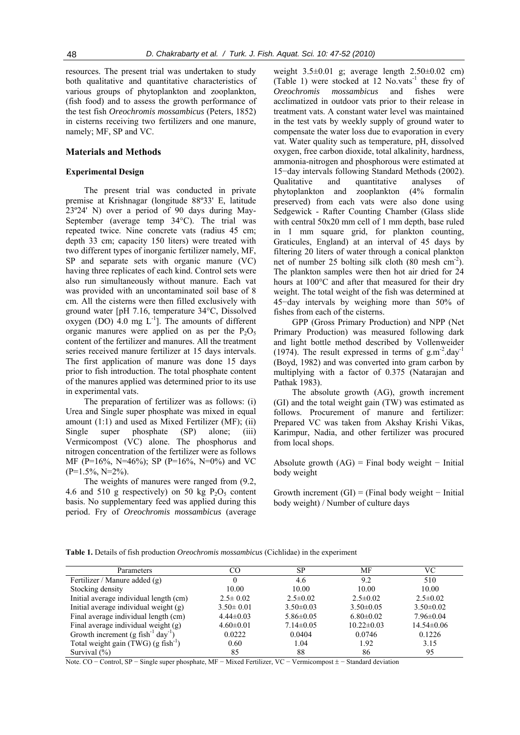resources. The present trial was undertaken to study both qualitative and quantitative characteristics of various groups of phytoplankton and zooplankton, (fish food) and to assess the growth performance of the test fish *Oreochromis mossambicus* (Peters, 1852) in cisterns receiving two fertilizers and one manure, namely; MF, SP and VC.

## **Materials and Methods**

## **Experimental Design**

The present trial was conducted in private premise at Krishnagar (longitude 88º33' E, latitude 23º24' N) over a period of 90 days during May-September (average temp 34°C). The trial was repeated twice. Nine concrete vats (radius 45 cm; depth 33 cm; capacity 150 liters) were treated with two different types of inorganic fertilizer namely, MF, SP and separate sets with organic manure (VC) having three replicates of each kind. Control sets were also run simultaneously without manure. Each vat was provided with an uncontaminated soil base of 8 cm. All the cisterns were then filled exclusively with ground water [pH 7.16, temperature 34°C, Dissolved oxygen (DO) 4.0 mg  $L^{-1}$ ]. The amounts of different organic manures were applied on as per the  $P_2O_5$ content of the fertilizer and manures. All the treatment series received manure fertilizer at 15 days intervals. The first application of manure was done 15 days prior to fish introduction. The total phosphate content of the manures applied was determined prior to its use in experimental vats.

The preparation of fertilizer was as follows: (i) Urea and Single super phosphate was mixed in equal amount (1:1) and used as Mixed Fertilizer (MF); (ii) Single super phosphate (SP) alone; (iii) Vermicompost (VC) alone. The phosphorus and nitrogen concentration of the fertilizer were as follows MF (P=16%, N=46%); SP (P=16%, N=0%) and VC  $(P=1.5\%, N=2\%).$ 

The weights of manures were ranged from (9.2, 4.6 and 510 g respectively) on 50 kg  $P_2O_5$  content basis. No supplementary feed was applied during this period. Fry of *Oreochromis mossambicus* (average

weight 3.5±0.01 g; average length 2.50±0.02 cm) (Table 1) were stocked at  $12$  No.vats<sup>-1</sup> these fry of *Oreochromis mossambicus* and fishes were acclimatized in outdoor vats prior to their release in treatment vats. A constant water level was maintained in the test vats by weekly supply of ground water to compensate the water loss due to evaporation in every vat. Water quality such as temperature, pH, dissolved oxygen, free carbon dioxide, total alkalinity, hardness, ammonia-nitrogen and phosphorous were estimated at 15−day intervals following Standard Methods (2002). Qualitative and quantitative analyses of phytoplankton and zooplankton (4% formalin preserved) from each vats were also done using Sedgewick - Rafter Counting Chamber (Glass slide with central 50x20 mm cell of 1 mm depth, base ruled in 1 mm square grid, for plankton counting, Graticules, England) at an interval of 45 days by filtering 20 liters of water through a conical plankton net of number 25 bolting silk cloth (80 mesh cm-2). The plankton samples were then hot air dried for 24 hours at 100°C and after that measured for their dry weight. The total weight of the fish was determined at 45−day intervals by weighing more than 50% of fishes from each of the cisterns.

GPP (Gross Primary Production) and NPP (Net Primary Production) was measured following dark and light bottle method described by Vollenweider (1974). The result expressed in terms of  $g.m^{-2}.day^{-1}$ (Boyd, 1982) and was converted into gram carbon by multiplying with a factor of 0.375 (Natarajan and Pathak 1983).

The absolute growth (AG), growth increment (GI) and the total weight gain (TW) was estimated as follows. Procurement of manure and fertilizer: Prepared VC was taken from Akshay Krishi Vikas, Karimpur, Nadia, and other fertilizer was procured from local shops.

Absolute growth  $(AG)$  = Final body weight – Initial body weight

Growth increment  $(GI) = (Final body weight - Initial)$ body weight) / Number of culture days

**Table 1.** Details of fish production *Oreochromis mossambicus* (Cichlidae) in the experiment

| Parameters                                                   | CO              | SP.             | МF               | VC               |
|--------------------------------------------------------------|-----------------|-----------------|------------------|------------------|
| Fertilizer / Manure added (g)                                |                 | 4.6             | 9.2              | 510              |
| Stocking density                                             | 10.00           | 10.00           | 10.00            | 10.00            |
| Initial average individual length (cm)                       | $2.5 \pm 0.02$  | $2.5 \pm 0.02$  | $2.5 \pm 0.02$   | $2.5 \pm 0.02$   |
| Initial average individual weight $(g)$                      | $3.50 \pm 0.01$ | $3.50\pm0.03$   | $3.50 \pm 0.05$  | $3.50 \pm 0.02$  |
| Final average individual length (cm)                         | $4.44\pm0.03$   | $5.86 \pm 0.05$ | $6.80 \pm 0.02$  | $7.96 \pm 0.04$  |
| Final average individual weight (g)                          | $4.60 \pm 0.01$ | $7.14 \pm 0.05$ | $10.22 \pm 0.03$ | $14.54 \pm 0.06$ |
| Growth increment $(g$ fish <sup>-1</sup> day <sup>-1</sup> ) | 0.0222          | 0.0404          | 0.0746           | 0.1226           |
| Total weight gain $(TWG)$ (g fish <sup>-1</sup> )            | 0.60            | 1.04            | 1.92             | 3.15             |
| Survival $(\% )$                                             | 85              | 88              | 86               | 95               |

Note. CO − Control, SP − Single super phosphate, MF − Mixed Fertilizer, VC − Vermicompost ± − Standard deviation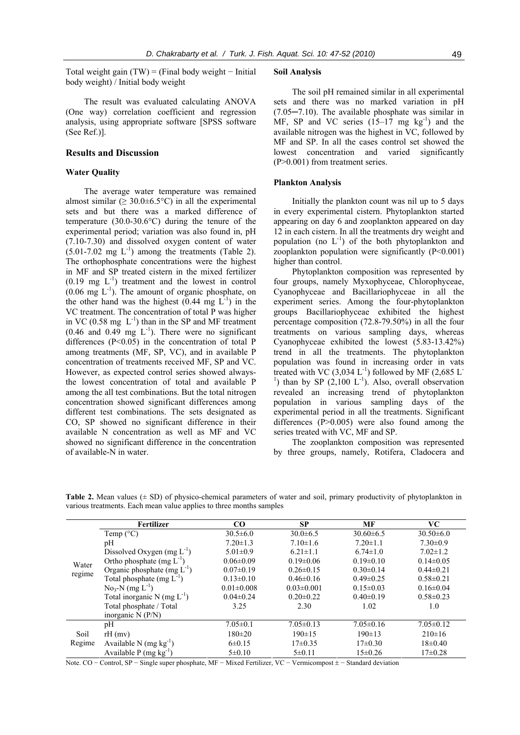Total weight gain  $(TW) = (Final body weight - Initial)$ body weight) / Initial body weight

The result was evaluated calculating ANOVA (One way) correlation coefficient and regression analysis, using appropriate software [SPSS software (See Ref.)].

## **Results and Discussion**

### **Water Quality**

The average water temperature was remained almost similar ( $\geq 30.0 \pm 6.5^{\circ}$ C) in all the experimental sets and but there was a marked difference of temperature (30.0-30.6°C) during the tenure of the experimental period; variation was also found in, pH (7.10-7.30) and dissolved oxygen content of water  $(5.01-7.02 \text{ mg } L^{-1})$  among the treatments (Table 2). The orthophosphate concentrations were the highest in MF and SP treated cistern in the mixed fertilizer  $(0.19 \text{ mg } L^{-1})$  treatment and the lowest in control  $(0.06 \text{ mg } L^{-1})$ . The amount of organic phosphate, on the other hand was the highest  $(0.44 \text{ mg } L^{-1})$  in the VC treatment. The concentration of total P was higher in VC (0.58 mg  $L^{-1}$ ) than in the SP and MF treatment  $(0.46$  and  $0.49$  mg  $L^{-1}$ ). There were no significant differences  $(P<0.05)$  in the concentration of total P among treatments (MF, SP, VC), and in available P concentration of treatments received MF, SP and VC. However, as expected control series showed alwaysthe lowest concentration of total and available P among the all test combinations. But the total nitrogen concentration showed significant differences among different test combinations. The sets designated as CO, SP showed no significant difference in their available N concentration as well as MF and VC showed no significant difference in the concentration of available-N in water.

#### **Soil Analysis**

The soil pH remained similar in all experimental sets and there was no marked variation in pH (7.05─7.10). The available phosphate was similar in MF, SP and VC series  $(15-17 \text{ mg kg}^{-1})$  and the available nitrogen was the highest in VC, followed by MF and SP. In all the cases control set showed the lowest concentration and varied significantly (P>0.001) from treatment series.

#### **Plankton Analysis**

Initially the plankton count was nil up to 5 days in every experimental cistern. Phytoplankton started appearing on day 6 and zooplankton appeared on day 12 in each cistern. In all the treatments dry weight and population (no  $L^{-1}$ ) of the both phytoplankton and zooplankton population were significantly (P<0.001) higher than control.

Phytoplankton composition was represented by four groups, namely Myxophyceae, Chlorophyceae, Cyanophyceae and Bacillariophyceae in all the experiment series. Among the four-phytoplankton groups Bacillariophyceae exhibited the highest percentage composition (72.8-79.50%) in all the four treatments on various sampling days, whereas Cyanophyceae exhibited the lowest (5.83-13.42%) trend in all the treatments. The phytoplankton population was found in increasing order in vats treated with VC (3,034 L<sup>-1</sup>) followed by MF (2,685 L<sup>-1</sup>) than by SP (2,100 L<sup>-1</sup>). Also, overall observation revealed an increasing trend of phytoplankton population in various sampling days of the experimental period in all the treatments. Significant differences (P>0.005) were also found among the series treated with VC, MF and SP.

The zooplankton composition was represented by three groups, namely, Rotifera, Cladocera and

**Table 2.** Mean values ( $\pm$  SD) of physico-chemical parameters of water and soil, primary productivity of phytoplankton in various treatments. Each mean value applies to three months samples

| Water<br>regime | Fertilizer                                          | CO               | <b>SP</b>        | MF              | VC.             |
|-----------------|-----------------------------------------------------|------------------|------------------|-----------------|-----------------|
|                 | Temp $(^{\circ}C)$                                  | $30.5 \pm 6.0$   | $30.0 \pm 6.5$   | $30.60\pm 6.5$  | $30.50\pm 6.0$  |
|                 | pH                                                  | $7.20 \pm 1.3$   | $7.10 \pm 1.6$   | $7.20 \pm 1.1$  | $7.30 \pm 0.9$  |
|                 | Dissolved Oxygen $(mg L^{-1})$                      | $5.01 \pm 0.9$   | $6.21 \pm 1.1$   | $6.74 \pm 1.0$  | $7.02 \pm 1.2$  |
|                 | Ortho phosphate (mg $L^{-1}$ )                      | $0.06 \pm 0.09$  | $0.19 \pm 0.06$  | $0.19\pm0.10$   | $0.14 \pm 0.05$ |
|                 | Organic phosphate (mg $L^{-1}$ )                    | $0.07 \pm 0.19$  | $0.26 \pm 0.15$  | $0.30 \pm 0.14$ | $0.44 \pm 0.21$ |
|                 | Total phosphate (mg $L^{-1}$ )                      | $0.13 \pm 0.10$  | $0.46 \pm 0.16$  | $0.49 \pm 0.25$ | $0.58 \pm 0.21$ |
|                 | $\text{No}_3\text{-}\text{N}$ (mg $\text{L}^{-1}$ ) | $0.01 \pm 0.008$ | $0.03 \pm 0.001$ | $0.15 \pm 0.03$ | $0.16 \pm 0.04$ |
|                 | Total inorganic N (mg $L^{-1}$ )                    | $0.04 \pm 0.24$  | $0.20 \pm 0.22$  | $0.40 \pm 0.19$ | $0.58 \pm 0.23$ |
|                 | Total phosphate / Total                             | 3.25             | 2.30             | 1.02            | 1.0             |
|                 | inorganic $N(P/N)$                                  |                  |                  |                 |                 |
| Soil<br>Regime  | pH                                                  | $7.05 \pm 0.1$   | $7.05 \pm 0.13$  | $7.05 \pm 0.16$ | $7.05 \pm 0.12$ |
|                 | $rH$ (mv)                                           | $180 \pm 20$     | $190 \pm 15$     | $190 \pm 13$    | $210 \pm 16$    |
|                 | Available N $(mg kg^{-1})$                          | $6\pm 0.15$      | $17\pm0.35$      | $17\pm0.30$     | $18+0.40$       |
|                 | Available P $(mg kg^{-1})$                          | $5 \pm 0.10$     | $5 \pm 0.11$     | $15 \pm 0.26$   | $17+0.28$       |

Note. CO − Control, SP − Single super phosphate, MF − Mixed Fertilizer, VC − Vermicompost ± − Standard deviation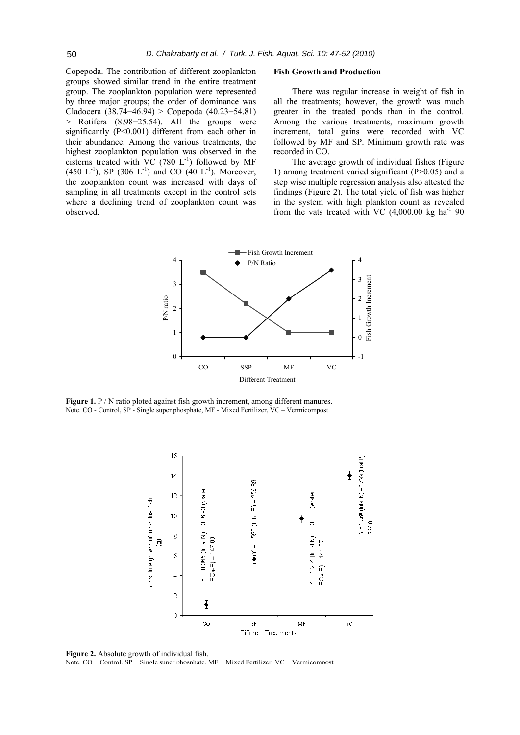Copepoda. The contribution of different zooplankton groups showed similar trend in the entire treatment group. The zooplankton population were represented by three major groups; the order of dominance was Cladocera (38.74−46.94) > Copepoda (40.23−54.81) > Rotifera (8.98−25.54). All the groups were significantly (P<0.001) different from each other in their abundance. Among the various treatments, the highest zooplankton population was observed in the cisterns treated with  $VC$  (780  $L^{-1}$ ) followed by MF  $(450 \text{ L}^{-1})$ , SP  $(306 \text{ L}^{-1})$  and CO  $(40 \text{ L}^{-1})$ . Moreover, the zooplankton count was increased with days of sampling in all treatments except in the control sets where a declining trend of zooplankton count was observed.

### **Fish Growth and Production**

There was regular increase in weight of fish in all the treatments; however, the growth was much greater in the treated ponds than in the control. Among the various treatments, maximum growth increment, total gains were recorded with VC followed by MF and SP. Minimum growth rate was recorded in CO.

The average growth of individual fishes (Figure 1) among treatment varied significant (P>0.05) and a step wise multiple regression analysis also attested the findings (Figure 2). The total yield of fish was higher in the system with high plankton count as revealed from the vats treated with VC  $(4,000.00 \text{ kg ha}^{-1} 90)$ 



**Figure 1.** P / N ratio ploted against fish growth increment, among different manures. Note. CO - Control, SP - Single super phosphate, MF - Mixed Fertilizer, VC – Vermicompost.



**Figure 2.** Absolute growth of individual fish.

Note. CO − Control, SP − Single super phosphate, MF − Mixed Fertilizer, VC − Vermicompost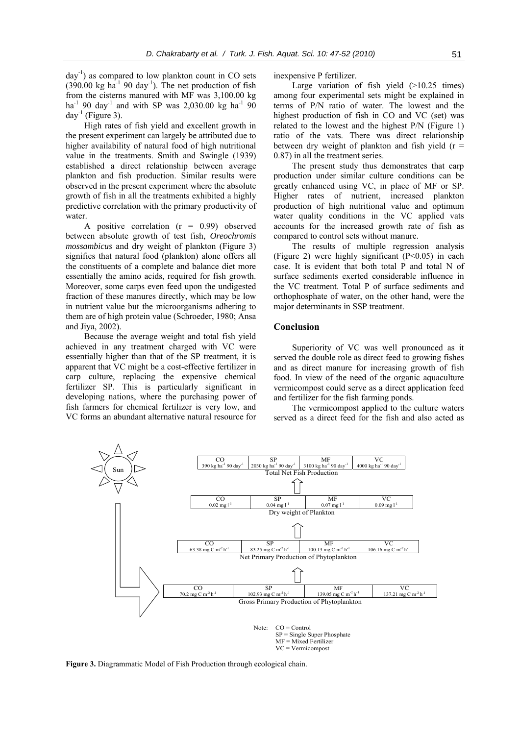$day^{-1}$ ) as compared to low plankton count in CO sets  $(390.00 \text{ kg ha}^{-1} 90 \text{ day}^{-1})$ . The net production of fish from the cisterns manured with MF was 3,100.00 kg  $ha^{-1}$  90 day<sup>-1</sup> and with SP was 2,030.00 kg  $ha^{-1}$  90 day<sup>-1</sup> (Figure 3).

High rates of fish yield and excellent growth in the present experiment can largely be attributed due to higher availability of natural food of high nutritional value in the treatments. Smith and Swingle (1939) established a direct relationship between average plankton and fish production. Similar results were observed in the present experiment where the absolute growth of fish in all the treatments exhibited a highly predictive correlation with the primary productivity of water.

A positive correlation  $(r = 0.99)$  observed between absolute growth of test fish, *Oreochromis mossambicus* and dry weight of plankton (Figure 3) signifies that natural food (plankton) alone offers all the constituents of a complete and balance diet more essentially the amino acids, required for fish growth. Moreover, some carps even feed upon the undigested fraction of these manures directly, which may be low in nutrient value but the microorganisms adhering to them are of high protein value (Schroeder, 1980; Ansa and Jiya, 2002).

Because the average weight and total fish yield achieved in any treatment charged with VC were essentially higher than that of the SP treatment, it is apparent that VC might be a cost-effective fertilizer in carp culture, replacing the expensive chemical fertilizer SP. This is particularly significant in developing nations, where the purchasing power of fish farmers for chemical fertilizer is very low, and VC forms an abundant alternative natural resource for

inexpensive P fertilizer.

Large variation of fish yield  $(>10.25$  times) among four experimental sets might be explained in terms of P/N ratio of water. The lowest and the highest production of fish in CO and VC (set) was related to the lowest and the highest P/N (Figure 1) ratio of the vats. There was direct relationship between dry weight of plankton and fish yield  $(r =$ 0.87) in all the treatment series.

The present study thus demonstrates that carp production under similar culture conditions can be greatly enhanced using VC, in place of MF or SP. Higher rates of nutrient, increased plankton production of high nutritional value and optimum water quality conditions in the VC applied vats accounts for the increased growth rate of fish as compared to control sets without manure.

The results of multiple regression analysis (Figure 2) were highly significant (P<0.05) in each case. It is evident that both total P and total N of surface sediments exerted considerable influence in the VC treatment. Total P of surface sediments and orthophosphate of water, on the other hand, were the major determinants in SSP treatment.

## **Conclusion**

Superiority of VC was well pronounced as it served the double role as direct feed to growing fishes and as direct manure for increasing growth of fish food. In view of the need of the organic aquaculture vermicompost could serve as a direct application feed and fertilizer for the fish farming ponds.

The vermicompost applied to the culture waters served as a direct feed for the fish and also acted as



**Figure 3.** Diagrammatic Model of Fish Production through ecological chain.